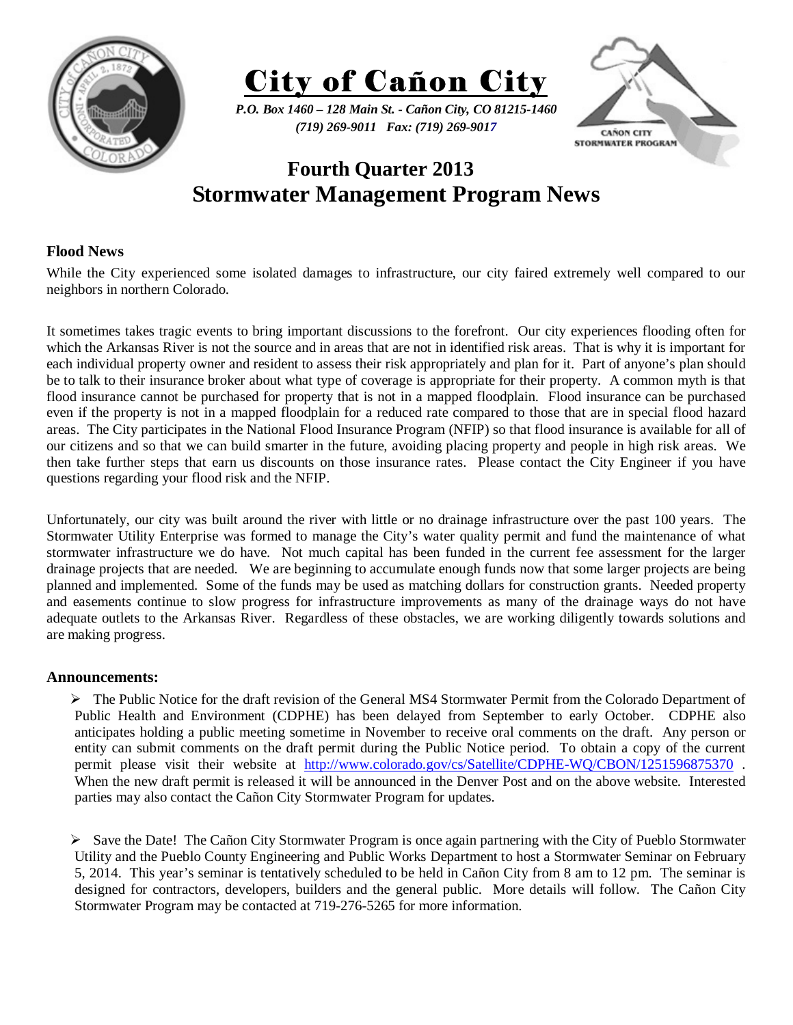



*P.O. Box 1460 – 128 Main St. - Cañon City, CO 81215-1460 (719) 269-9011 Fax: (719) 269-9017* 



# **Fourth Quarter 2013 Stormwater Management Program News**

## **Flood News**

While the City experienced some isolated damages to infrastructure, our city faired extremely well compared to our neighbors in northern Colorado.

It sometimes takes tragic events to bring important discussions to the forefront. Our city experiences flooding often for which the Arkansas River is not the source and in areas that are not in identified risk areas. That is why it is important for each individual property owner and resident to assess their risk appropriately and plan for it. Part of anyone's plan should be to talk to their insurance broker about what type of coverage is appropriate for their property. A common myth is that flood insurance cannot be purchased for property that is not in a mapped floodplain. Flood insurance can be purchased even if the property is not in a mapped floodplain for a reduced rate compared to those that are in special flood hazard areas. The City participates in the National Flood Insurance Program (NFIP) so that flood insurance is available for all of our citizens and so that we can build smarter in the future, avoiding placing property and people in high risk areas. We then take further steps that earn us discounts on those insurance rates. Please contact the City Engineer if you have questions regarding your flood risk and the NFIP.

Unfortunately, our city was built around the river with little or no drainage infrastructure over the past 100 years. The Stormwater Utility Enterprise was formed to manage the City's water quality permit and fund the maintenance of what stormwater infrastructure we do have. Not much capital has been funded in the current fee assessment for the larger drainage projects that are needed. We are beginning to accumulate enough funds now that some larger projects are being planned and implemented. Some of the funds may be used as matching dollars for construction grants. Needed property and easements continue to slow progress for infrastructure improvements as many of the drainage ways do not have adequate outlets to the Arkansas River. Regardless of these obstacles, we are working diligently towards solutions and are making progress.

## **Announcements:**

 $\triangleright$  The Public Notice for the draft revision of the General MS4 Stormwater Permit from the Colorado Department of Public Health and Environment (CDPHE) has been delayed from September to early October. CDPHE also anticipates holding a public meeting sometime in November to receive oral comments on the draft. Any person or entity can submit comments on the draft permit during the Public Notice period. To obtain a copy of the current permit please visit their website at http://www.colorado.gov/cs/Satellite/CDPHE-WQ/CBON/1251596875370. When the new draft permit is released it will be announced in the Denver Post and on the above website. Interested parties may also contact the Cañon City Stormwater Program for updates.

 $\triangleright$  Save the Date! The Cañon City Stormwater Program is once again partnering with the City of Pueblo Stormwater Utility and the Pueblo County Engineering and Public Works Department to host a Stormwater Seminar on February 5, 2014. This year's seminar is tentatively scheduled to be held in Cañon City from 8 am to 12 pm. The seminar is designed for contractors, developers, builders and the general public. More details will follow. The Cañon City Stormwater Program may be contacted at 719-276-5265 for more information.